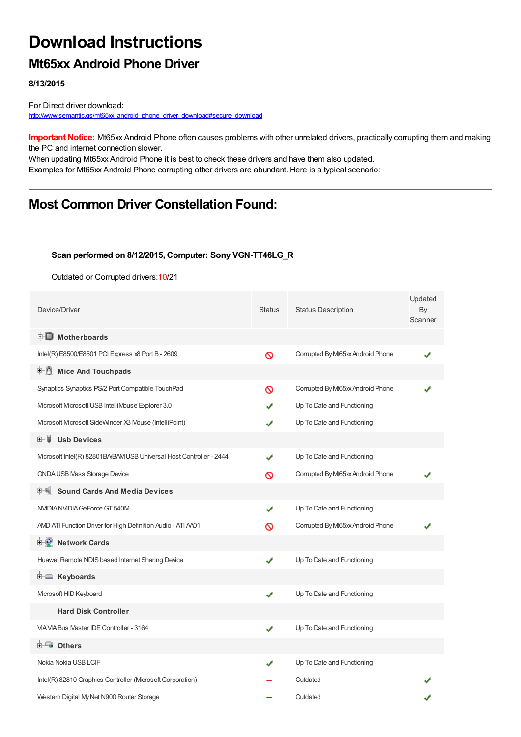# **Download Instructions**

## **Mt65xx Android Phone Driver**

**8/13/2015**

For Direct driver download: http://www.semantic.gs/mt65xx android\_phone\_driver\_download#secure\_download

**Important Notice:** Mt65xx Android Phone often causes problems with other unrelated drivers, practically corrupting them and making the PC and internet connection slower.

When updating Mt65xx Android Phone it is best to check these drivers and have them also updated. Examples for Mt65xx Android Phone corrupting other drivers are abundant. Here is a typical scenario:

## **Most Common Driver Constellation Found:**

#### **Scan performed on 8/12/2015, Computer: Sony VGN-TT46LG\_R**

Outdated or Corrupted drivers:10/21

| Device/Driver                                                      | <b>Status</b> | <b>Status Description</b>         | Updated<br>By<br>Scanner |
|--------------------------------------------------------------------|---------------|-----------------------------------|--------------------------|
| <b>E</b> Motherboards                                              |               |                                   |                          |
| Intel(R) E8500/E8501 PCI Express x8 Port B - 2609                  | Ø             | Corrupted By Mt65xx Android Phone |                          |
| 中心 Mice And Touchpads                                              |               |                                   |                          |
| Synaptics Synaptics PS/2 Port Compatible TouchPad                  | ര             | Corrupted By Mt65xx Android Phone |                          |
| Microsoft Microsoft USB IntelliMouse Explorer 3.0                  |               | Up To Date and Functioning        |                          |
| Mcrosoft Mcrosoft SideWinder X3 Mouse (IntelliPoint)               | ✔             | Up To Date and Functioning        |                          |
| 由−■<br><b>Usb Devices</b>                                          |               |                                   |                          |
| Mcrosoft Intel(R) 82801BA/BAM USB Universal Host Controller - 2444 |               | Up To Date and Functioning        |                          |
| <b>ONDAUSB Mass Storage Device</b>                                 | Ø             | Corrupted By Mt65xx Android Phone |                          |
| <b>Sound Cards And Media Devices</b>                               |               |                                   |                          |
| NVIDIANVIDIA GeForce GT 540M                                       | ✔             | Up To Date and Functioning        |                          |
| AMD ATI Function Driver for High Definition Audio - ATI A401       | ၹ             | Corrupted By Mt65xx Android Phone |                          |
| <b>E</b> Network Cards                                             |               |                                   |                          |
| Huawei Remote NDIS based Internet Sharing Device                   | ✔             | Up To Date and Functioning        |                          |
| E Keyboards                                                        |               |                                   |                          |
| Microsoft HID Keyboard                                             | ✔             | Up To Date and Functioning        |                          |
| <b>Hard Disk Controller</b>                                        |               |                                   |                          |
| VIA VIA Bus Master IDE Controller - 3164                           | ✔             | Up To Date and Functioning        |                          |
| <b>E</b> Others                                                    |               |                                   |                          |
| Nokia Nokia USB LCIF                                               |               | Up To Date and Functioning        |                          |
| Intel(R) 82810 Graphics Controller (Mcrosoft Corporation)          |               | Outdated                          |                          |
| Western Digital My Net N900 Router Storage                         |               | Outdated                          |                          |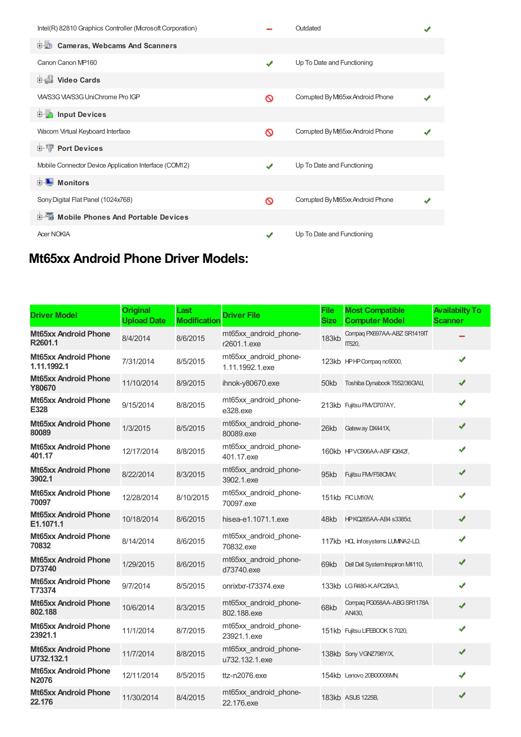| Intel(R) 82810 Graphics Controller (Mcrosoft Corporation) |   | Outdated                          |  |
|-----------------------------------------------------------|---|-----------------------------------|--|
| <b>D-10</b><br><b>Cameras, Webcams And Scanners</b>       |   |                                   |  |
| Canon Canon MP160                                         | ✔ | Up To Date and Functioning        |  |
| Video Cards                                               |   |                                   |  |
| VIA/S3G VIA/S3G UniChrome Pro IGP                         | ര | Corrupted By Mt65xx Android Phone |  |
| <b>E</b> Input Devices                                    |   |                                   |  |
| Wacom Virtual Keyboard Interface                          | ര | Corrupted By Mt65xx Android Phone |  |
| <b>E-</b> Port Devices                                    |   |                                   |  |
| Mobile Connector Device Application Interface (COM12)     | J | Up To Date and Functioning        |  |
| $\blacksquare$ Monitors<br>中…                             |   |                                   |  |
| Sony Digital Flat Panel (1024x768)                        | ര | Corrupted By Mt65xx Android Phone |  |
| <b>E-</b> Mobile Phones And Portable Devices              |   |                                   |  |
| <b>Acer NOKIA</b>                                         | J | Up To Date and Functioning        |  |

## **Mt65xx Android Phone Driver Models:**

| <b>Driver Model</b>                         | <b>Original</b><br><b>Upload Date</b> | Last<br><b>Modification</b> | <b>Driver File</b>                       | <b>File</b><br><b>Size</b> | <b>Most Compatible</b><br><b>Computer Model</b> | <b>Availabilty To</b><br><b>Scanner</b> |
|---------------------------------------------|---------------------------------------|-----------------------------|------------------------------------------|----------------------------|-------------------------------------------------|-----------------------------------------|
| <b>Mt65xx Android Phone</b><br>R2601.1      | 8/4/2014                              | 8/6/2015                    | mt65xx android phone-<br>r2601.1.exe     | <b>183kb</b>               | Compag PX697AA-ABZ SR1419IT<br><b>IT520.</b>    |                                         |
| <b>Mt65xx Android Phone</b><br>1.11.1992.1  | 7/31/2014                             | 8/5/2015                    | mt65xx android phone-<br>1.11.1992.1.exe |                            | 123kb HPHP Compagnc6000,                        | J                                       |
| <b>Mt65xx Android Phone</b><br>Y80670       | 11/10/2014                            | 8/9/2015                    | ihnok-y80670.exe                         | 50kb                       | Toshiba Dynabook T552/36GWJ,                    | ✔                                       |
| <b>Mt65xx Android Phone</b><br>E328         | 9/15/2014                             | 8/8/2015                    | mt65xx_android_phone-<br>e328.exe        |                            | 213kb Fujitsu FM/D707AY,                        | ✔                                       |
| <b>Mt65xx Android Phone</b><br>80089        | 1/3/2015                              | 8/5/2015                    | mt65xx_android_phone-<br>80089.exe       | 26kb                       | Gateway DX441X,                                 | ✔                                       |
| <b>Mt65xx Android Phone</b><br>401.17       | 12/17/2014                            | 8/8/2015                    | mt65xx_android_phone-<br>401.17.exe      |                            | 160kb HPVC906AA-ABFIQ842f,                      | $\checkmark$                            |
| <b>Mt65xx Android Phone</b><br>3902.1       | 8/22/2014                             | 8/3/2015                    | mt65xx_android_phone-<br>3902.1.exe      | 95kb                       | Fujitsu FMVF58CMV,                              | ✔                                       |
| <b>Mt65xx Android Phone</b><br>70097        | 12/28/2014                            | 8/10/2015                   | mt65xx_android_phone-<br>70097.exe       |                            | 151kb FICLM10W,                                 | ✔                                       |
| <b>Mt65xx Android Phone</b><br>E1.1071.1    | 10/18/2014                            | 8/6/2015                    | hisea-e1.1071.1.exe                      | 48kb                       | HPKQ265AA-AB4 s3385d,                           | ✔                                       |
| <b>Mt65xx Android Phone</b><br>70832        | 8/14/2014                             | 8/6/2015                    | mt65xx android phone-<br>70832.exe       |                            | 117kb HCL Infosystems LUMNA2-LD,                | ✔                                       |
| <b>Mt65xx Android Phone</b><br>D73740       | 1/29/2015                             | 8/6/2015                    | mt65xx_android_phone-<br>d73740.exe      | 69kb                       | Dell Dell System Inspiron M4110,                | ✔                                       |
| <b>Mt65xx Android Phone</b><br>T73374       | 9/7/2014                              | 8/5/2015                    | onrixtxr-t73374.exe                      |                            | 133kb LGR480-KAPC2BA3,                          | ✔                                       |
| <b>Mt65xx Android Phone</b><br>802.188      | 10/6/2014                             | 8/3/2015                    | mt65xx_android_phone-<br>802.188.exe     | 68kb                       | Compag PG058AA-ABG SR1178A<br>AN430,            | ✔                                       |
| <b>Mt65xx Android Phone</b><br>23921.1      | 11/1/2014                             | 8/7/2015                    | mt65xx_android_phone-<br>23921.1.exe     |                            | 151kb Fujitsu LIFEBOOK S 7020,                  | ✔                                       |
| <b>Mt65xx Android Phone</b><br>U732.132.1   | 11/7/2014                             | 8/8/2015                    | mt65xx_android_phone-<br>u732.132.1.exe  |                            | 138kb Sony VGNZ798Y/X,                          | ✔                                       |
| <b>Mt65xx Android Phone</b><br><b>N2076</b> | 12/11/2014                            | 8/5/2015                    | ttz-n2076.exe                            |                            | 154kb Lenovo 20B00006M,                         | J                                       |
| <b>Mt65xx Android Phone</b><br>22.176       | 11/30/2014                            | 8/4/2015                    | mt65xx_android_phone-<br>22.176.exe      |                            | 183kb ASUS 1225B,                               | ✔                                       |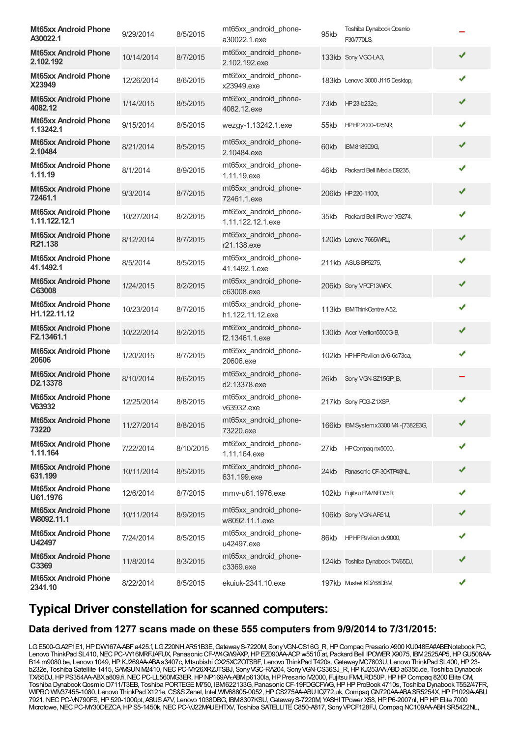| <b>Mt65xx Android Phone</b><br>A30022.1             | 9/29/2014  | 8/5/2015  | mt65xx_android_phone-<br>a30022.1.exe      | 95kb | Toshiba Dynabook Qosmo<br>F30/770LS.   |   |
|-----------------------------------------------------|------------|-----------|--------------------------------------------|------|----------------------------------------|---|
| <b>Mt65xx Android Phone</b><br>2.102.192            | 10/14/2014 | 8/7/2015  | mt65xx_android_phone-<br>2.102.192.exe     |      | 133kb Sony VGC-LA3,                    | ✔ |
| <b>Mt65xx Android Phone</b><br>X23949               | 12/26/2014 | 8/6/2015  | mt65xx_android_phone-<br>x23949.exe        |      | 183kb Lenovo 3000 J115 Desktop,        | ✔ |
| <b>Mt65xx Android Phone</b><br>4082.12              | 1/14/2015  | 8/5/2015  | mt65xx_android_phone-<br>4082.12.exe       | 73kb | HP23-b232e,                            | ✔ |
| <b>Mt65xx Android Phone</b><br>1.13242.1            | 9/15/2014  | 8/5/2015  | wezgy-1.13242.1.exe                        | 55kb | HPHP2000-425NR                         | ✔ |
| <b>Mt65xx Android Phone</b><br>2.10484              | 8/21/2014  | 8/5/2015  | mt65xx android phone-<br>2.10484.exe       | 60kb | <b>IBM8189D9G,</b>                     | ✔ |
| <b>Mt65xx Android Phone</b><br>1.11.19              | 8/1/2014   | 8/9/2015  | mt65xx_android_phone-<br>1.11.19.exe       | 46kb | Packard Bell IMedia D9235,             | ✔ |
| <b>Mt65xx Android Phone</b><br>72461.1              | 9/3/2014   | 8/7/2015  | mt65xx_android_phone-<br>72461.1.exe       |      | 206kb HP 220-1100t,                    | ✔ |
| <b>Mt65xx Android Phone</b><br>1.11.122.12.1        | 10/27/2014 | 8/2/2015  | mt65xx_android_phone-<br>1.11.122.12.1.exe | 35kb | Packard Bell IPower X9274,             | ✔ |
| <b>Mt65xx Android Phone</b><br>R21.138              | 8/12/2014  | 8/7/2015  | mt65xx android phone-<br>r21.138.exe       |      | 120kb Lenovo 7665WRU,                  | ✔ |
| <b>Mt65xx Android Phone</b><br>41.1492.1            | 8/5/2014   | 8/5/2015  | mt65xx_android_phone-<br>41.1492.1.exe     |      | 211kb ASUS BP5275,                     | ✔ |
| <b>Mt65xx Android Phone</b><br>C63008               | 1/24/2015  | 8/2/2015  | mt65xx_android_phone-<br>c63008.exe        |      | 206kb Sony VPCF13WFX,                  | ✔ |
| <b>Mt65xx Android Phone</b><br>H1.122.11.12         | 10/23/2014 | 8/7/2015  | mt65xx_android_phone-<br>h1.122.11.12.exe  |      | 113kb IBM ThinkCentre A52,             | ✔ |
| <b>Mt65xx Android Phone</b><br>F2.13461.1           | 10/22/2014 | 8/2/2015  | mt65xx_android_phone-<br>f2.13461.1.exe    |      | 130kb Acer Veriton5500G-B,             | ✔ |
| <b>Mt65xx Android Phone</b><br>20606                | 1/20/2015  | 8/7/2015  | mt65xx_android_phone-<br>20606.exe         |      | 102kb HPHP Pavilion dv6-6c73ca,        | ✔ |
| <b>Mt65xx Android Phone</b><br>D <sub>2.13378</sub> | 8/10/2014  | 8/6/2015  | mt65xx android phone-<br>d2.13378.exe      | 26kb | Sony VGN-SZ15GP B,                     |   |
| <b>Mt65xx Android Phone</b><br>V63932               | 12/25/2014 | 8/8/2015  | mt65xx_android_phone-<br>v63932.exe        |      | 217kb Sony POG-Z1XSP,                  | ✔ |
| <b>Mt65xx Android Phone</b><br>73220                | 11/27/2014 | 8/8/2015  | mt65xx_android_phone-<br>73220.exe         |      | 166kb IBM System x 3300 M4 - [7382E3G, | ✔ |
| <b>Mt65xx Android Phone</b><br>1.11.164             | 7/22/2014  | 8/10/2015 | mt65xx_android_phone-<br>1.11.164.exe      | 27kb | HP Compag nx5000,                      | ✔ |
| <b>Mt65xx Android Phone</b><br>631.199              | 10/11/2014 | 8/5/2015  | mt65xx_android_phone-<br>631.199.exe       | 24kb | Panasonic CF-30KTP48NL,                | ✔ |
| <b>Mt65xx Android Phone</b><br>U61.1976             | 12/6/2014  | 8/7/2015  | mmv-u61.1976.exe                           |      | 102kb Fujitsu FM/NFD75R,               |   |
| <b>Mt65xx Android Phone</b><br>W8092.11.1           | 10/11/2014 | 8/9/2015  | mt65xx_android_phone-<br>w8092.11.1.exe    |      | 106kb Sony VGN-AR51J,                  | ✔ |
| <b>Mt65xx Android Phone</b><br>U42497               | 7/24/2014  | 8/5/2015  | mt65xx_android_phone-<br>u42497.exe        | 86kb | HPHP Pavilion dv9000,                  | ✔ |
| <b>Mt65xx Android Phone</b><br>C3369                | 11/8/2014  | 8/3/2015  | mt65xx_android_phone-<br>c3369.exe         |      | 124kb Toshiba Dynabook TX/65DJ,        | ✔ |
| <b>Mt65xx Android Phone</b><br>2341.10              | 8/22/2014  | 8/5/2015  | ekuiuk-2341.10.exe                         |      | 197kb Mustek KDZ68DBM                  | ✔ |

## **Typical Driver constellation for scanned computers:**

#### **Data derived from 1277 scans made on these 555 computers from 9/9/2014 to 7/31/2015:**

LG E500-G.A2F1E1, HP DW167A-ABFa425.f, LG Z20NH.AR51B3E, Gateway S-7220M, Sony VGN-CS16G\_R, HP Compaq Presario A900 KU048EA#ABENotebook PC, Lenovo ThinkPad SL410,NECPC-VY16MRFJAFUX, PanasonicCF-W4GW9AXP,HPEZ090AA-ACPw5510.at, Packard Bell IPOWERX9075, IBM2525AP5,HPGU508AA-B14 m9080.be, Lenovo 1049, HP KJ269AA-ABAs3407c, Mtsubishi CX25XCZOTSBF, Lenovo ThinkPad T420s, Gateway MC7803U, Lenovo ThinkPad SL400, HP 23b232e, Toshiba Satellite 1415, SAWSUN M2410, NEC PC-MY26XRZJTSBJ, Sony VGC-RA204, Sony VGN-CS36SJ\_R, HP KJ253AA-ABD a6355.de, Toshiba Dynabook TX/65DJ, HP PS354AA-ABX a809.fi, NEC PC-LL560MG3ER, HP NP169AA-ABMp6130la, HP Presario M2000, Fujitsu FMLRD50P, HP HP Compaq 8200 Elite CM, Toshiba DynabookQosmio D711/T3EB, Toshiba PORTEGEM750, IBM622133G, PanasonicCF-19FDGCFWG,HPHPProBook 4710s, Toshiba Dynabook T552/47FR, WIPRO WIV37455-1080, Lenovo ThinkPad X121e, CS&S Zenet, Intel WIV68805-0052, HP GS275AA-ABU IQ772.uk, Compaq GN720AA-ABA SR5254X, HP P1029A-ABU 7921,NECPC-VN790FS,HP520-1000pt, ASUSA7V, Lenovo 1038DBG, IBM8307KSU,GatewayS-7220M, YASHI TPower X58,HPP6-2007nl,HPHPElite 7000 Mcrotowe, NEC PC-MY30DEZCA, HP S5-1450k, NEC PC-VJ22MAUEHTXV, Toshiba SATELLITE C850-A817, Sony VPCF128FJ, Compaq NC109AA-ABH SR5422NL,